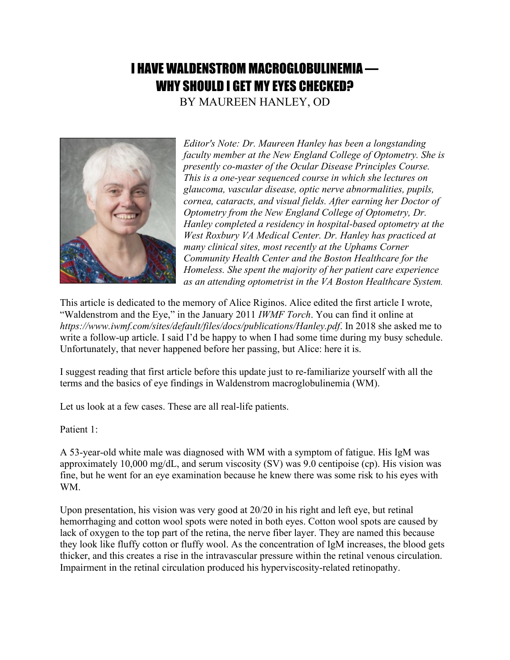## I HAVE WALDENSTROM MACROGLOBULINEMIA — WHY SHOULD I GET MY EYES CHECKED?

BY MAUREEN HANLEY, OD



*Editor's Note: Dr. Maureen Hanley has been a longstanding faculty member at the New England College of Optometry. She is presently co-master of the Ocular Disease Principles Course. This is a one-year sequenced course in which she lectures on glaucoma, vascular disease, optic nerve abnormalities, pupils, cornea, cataracts, and visual fields. After earning her Doctor of Optometry from the New England College of Optometry, Dr. Hanley completed a residency in hospital-based optometry at the West Roxbury VA Medical Center. Dr. Hanley has practiced at many clinical sites, most recently at the Uphams Corner Community Health Center and the Boston Healthcare for the Homeless. She spent the majority of her patient care experience as an attending optometrist in the VA Boston Healthcare System.*

This article is dedicated to the memory of Alice Riginos. Alice edited the first article I wrote, "Waldenstrom and the Eye," in the January 2011 *IWMF Torch*. You can find it online at *https://www.iwmf.com/sites/default/files/docs/publications/Hanley.pdf*. In 2018 she asked me to write a follow-up article. I said I'd be happy to when I had some time during my busy schedule. Unfortunately, that never happened before her passing, but Alice: here it is.

I suggest reading that first article before this update just to re-familiarize yourself with all the terms and the basics of eye findings in Waldenstrom macroglobulinemia (WM).

Let us look at a few cases. These are all real-life patients.

Patient 1:

A 53-year-old white male was diagnosed with WM with a symptom of fatigue. His IgM was approximately 10,000 mg/dL, and serum viscosity (SV) was 9.0 centipoise (cp). His vision was fine, but he went for an eye examination because he knew there was some risk to his eyes with WM.

Upon presentation, his vision was very good at 20/20 in his right and left eye, but retinal hemorrhaging and cotton wool spots were noted in both eyes. Cotton wool spots are caused by lack of oxygen to the top part of the retina, the nerve fiber layer. They are named this because they look like fluffy cotton or fluffy wool. As the concentration of IgM increases, the blood gets thicker, and this creates a rise in the intravascular pressure within the retinal venous circulation. Impairment in the retinal circulation produced his hyperviscosity-related retinopathy.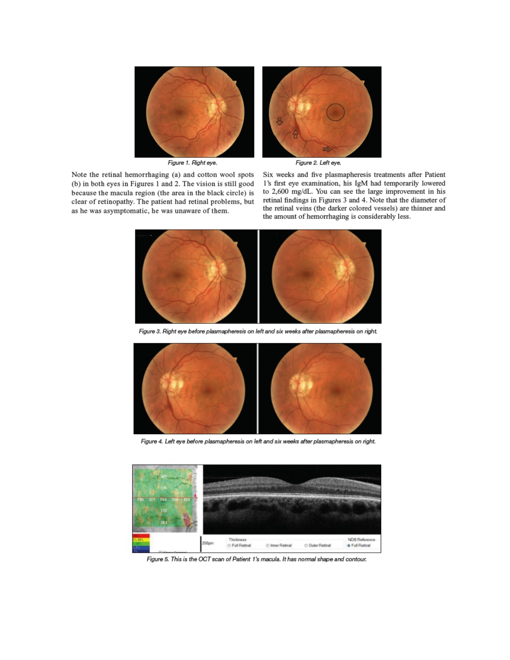

Figure 1. Right eye.

Note the retinal hemorrhaging (a) and cotton wool spots

(b) in both eyes in Figures 1 and 2. The vision is still good

because the macula region (the area in the black circle) is

clear of retinopathy. The patient had retinal problems, but

as he was asymptomatic, he was unaware of them.

Six weeks and five plasmapheresis treatments after Patient 1's first eye examination, his IgM had temporarily lowered to 2,600 mg/dL. You can see the large improvement in his retinal findings in Figures 3 and 4. Note that the diameter of the retinal veins (the darker colored vessels) are thinner and the amount of hemorrhaging is considerably less.



Figure 3. Right eye before plasmapheresis on left and six weeks after plasmapheresis on right.



Figure 4. Left eye before plasmapheresis on left and six weeks after plasmapheresis on right.



Figure 5. This is the OCT scan of Patient 1's macula. It has normal shape and contour.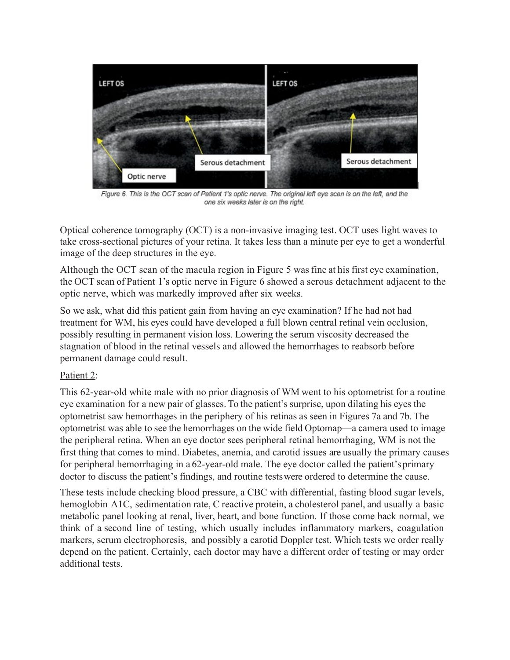

Figure 6. This is the OCT scan of Patient 1's optic nerve. The original left eye scan is on the left, and the one six weeks later is on the right.

Optical coherence tomography (OCT) is a non-invasive imaging test. OCT uses light waves to take cross-sectional pictures of your retina. It takes less than a minute per eye to get a wonderful image of the deep structures in the eye.

Although the OCT scan of the macula region in Figure 5 was fine at his first eye examination, the OCT scan of Patient 1's optic nerve in Figure 6 showed a serous detachment adjacent to the optic nerve, which was markedly improved after six weeks.

So we ask, what did this patient gain from having an eye examination? If he had not had treatment for WM, his eyes could have developed a full blown central retinal vein occlusion, possibly resulting in permanent vision loss. Lowering the serum viscosity decreased the stagnation of blood in the retinal vessels and allowed the hemorrhages to reabsorb before permanent damage could result.

## Patient 2:

This 62-year-old white male with no prior diagnosis of WM went to his optometrist for a routine eye examination for a new pair of glasses. To the patient's surprise, upon dilating his eyes the optometrist saw hemorrhages in the periphery of his retinas as seen in Figures 7a and 7b. The optometrist was able to see the hemorrhages on the wide field Optomap—a camera used to image the peripheral retina. When an eye doctor sees peripheral retinal hemorrhaging, WM is not the first thing that comes to mind. Diabetes, anemia, and carotid issues are usually the primary causes for peripheral hemorrhaging in a 62-year-old male. The eye doctor called the patient's primary doctor to discuss the patient's findings, and routine testswere ordered to determine the cause.

These tests include checking blood pressure, a CBC with differential, fasting blood sugar levels, hemoglobin A1C, sedimentation rate, C reactive protein, a cholesterol panel, and usually a basic metabolic panel looking at renal, liver, heart, and bone function. If those come back normal, we think of a second line of testing, which usually includes inflammatory markers, coagulation markers, serum electrophoresis, and possibly a carotid Doppler test. Which tests we order really depend on the patient. Certainly, each doctor may have a different order of testing or may order additional tests.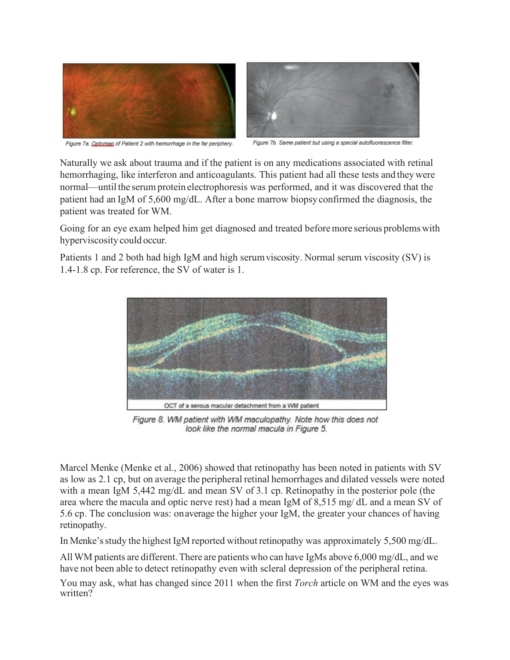



Figure 7a. Qptoman of Patient 2 with hemorrhage in the far periphery.

Figure 7b. Same patient but using a special autofluorescence filter

Naturally we ask about trauma and if the patient is on any medications associated with retinal hemorrhaging, like interferon and anticoagulants. This patient had all these tests and theywere normal—until the serum protein electrophoresis was performed, and it was discovered that the patient had an IgM of 5,600 mg/dL. After a bone marrow biopsyconfirmed the diagnosis, the patient was treated for WM.

Going for an eye exam helped him get diagnosed and treated beforemore serious problemswith hyperviscosity could occur.

Patients 1 and 2 both had high IgM and high serumviscosity. Normal serum viscosity (SV) is 1.4-1.8 cp. For reference, the SV of water is 1.



Figure 8. WM patient with WM maculopathy. Note how this does not look like the normal macula in Figure 5.

Marcel Menke (Menke et al., 2006) showed that retinopathy has been noted in patients with SV as low as 2.1 cp, but on average the peripheral retinal hemorrhages and dilated vessels were noted with a mean IgM 5,442 mg/dL and mean SV of 3.1 cp. Retinopathy in the posterior pole (the area where the macula and optic nerve rest) had a mean IgM of 8,515 mg/ dL and a mean SV of 5.6 cp. The conclusion was: onaverage the higher your IgM, the greater your chances of having retinopathy.

In Menke's study the highest IgM reported without retinopathy was approximately  $5,500$  mg/dL.

All WM patients are different. There are patients who can have IgMs above  $6,000 \text{ mg/dL}$ , and we have not been able to detect retinopathy even with scleral depression of the peripheral retina.

You may ask, what has changed since 2011 when the first *Torch* article on WM and the eyes was written?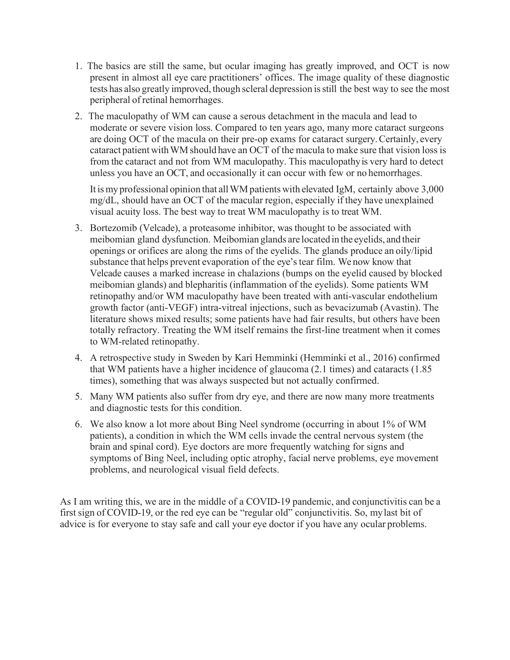- 1. The basics are still the same, but ocular imaging has greatly improved, and OCT is now present in almost all eye care practitioners' offices. The image quality of these diagnostic tests has also greatly improved, though scleral depression isstill the best way to see the most peripheral of retinal hemorrhages.
- 2. The maculopathy of WM can cause a serous detachment in the macula and lead to moderate or severe vision loss. Compared to ten years ago, many more cataract surgeons are doing OCT of the macula on their pre-op exams for cataract surgery.Certainly, every cataract patient with WM should have an OCT of the macula to make sure that vision loss is from the cataract and not from WM maculopathy. This maculopathyis very hard to detect unless you have an OCT, and occasionally it can occur with few or no hemorrhages.

It is my professional opinion that all WM patients with elevated IgM, certainly above 3,000 mg/dL, should have an OCT of the macular region, especially if they have unexplained visual acuity loss. The best way to treat WM maculopathy is to treat WM.

- 3. Bortezomib (Velcade), a proteasome inhibitor, was thought to be associated with meibomian gland dysfunction. Meibomian glands are located in the eyelids, and their openings or orifices are along the rims of the eyelids. The glands produce an oily/lipid substance that helps prevent evaporation of the eye's tear film. We now know that Velcade causes a marked increase in chalazions (bumps on the eyelid caused by blocked meibomian glands) and blepharitis (inflammation of the eyelids). Some patients WM retinopathy and/or WM maculopathy have been treated with anti-vascular endothelium growth factor (anti-VEGF) intra-vitreal injections, such as bevacizumab (Avastin). The literature shows mixed results; some patients have had fair results, but others have been totally refractory. Treating the WM itself remains the first-line treatment when it comes to WM-related retinopathy.
- 4. A retrospective study in Sweden by Kari Hemminki (Hemminki et al., 2016) confirmed that WM patients have a higher incidence of glaucoma (2.1 times) and cataracts (1.85 times), something that was always suspected but not actually confirmed.
- 5. Many WM patients also suffer from dry eye, and there are now many more treatments and diagnostic tests for this condition.
- 6. We also know a lot more about Bing Neel syndrome (occurring in about 1% of WM patients), a condition in which the WM cells invade the central nervous system (the brain and spinal cord). Eye doctors are more frequently watching for signs and symptoms of Bing Neel, including optic atrophy, facial nerve problems, eye movement problems, and neurological visual field defects.

As I am writing this, we are in the middle of a COVID-19 pandemic, and conjunctivitis can be a first sign of COVID-19, or the red eye can be "regular old" conjunctivitis. So, mylast bit of advice is for everyone to stay safe and call your eye doctor if you have any ocular problems.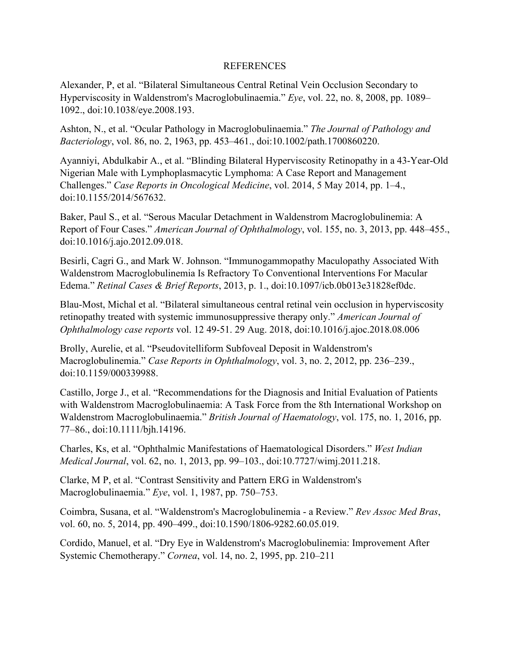## REFERENCES

Alexander, P, et al. "Bilateral Simultaneous Central Retinal Vein Occlusion Secondary to Hyperviscosity in Waldenstrom's Macroglobulinaemia." *Eye*, vol. 22, no. 8, 2008, pp. 1089– 1092., doi:10.1038/eye.2008.193.

Ashton, N., et al. "Ocular Pathology in Macroglobulinaemia." *The Journal of Pathology and Bacteriology*, vol. 86, no. 2, 1963, pp. 453–461., doi:10.1002/path.1700860220.

Ayanniyi, Abdulkabir A., et al. "Blinding Bilateral Hyperviscosity Retinopathy in a 43-Year-Old Nigerian Male with Lymphoplasmacytic Lymphoma: A Case Report and Management Challenges." *Case Reports in Oncological Medicine*, vol. 2014, 5 May 2014, pp. 1–4., doi:10.1155/2014/567632.

Baker, Paul S., et al. "Serous Macular Detachment in Waldenstrom Macroglobulinemia: A Report of Four Cases." *American Journal of Ophthalmology*, vol. 155, no. 3, 2013, pp. 448–455., doi:10.1016/j.ajo.2012.09.018.

Besirli, Cagri G., and Mark W. Johnson. "Immunogammopathy Maculopathy Associated With Waldenstrom Macroglobulinemia Is Refractory To Conventional Interventions For Macular Edema." *Retinal Cases & Brief Reports*, 2013, p. 1., doi:10.1097/icb.0b013e31828ef0dc.

Blau-Most, Michal et al. "Bilateral simultaneous central retinal vein occlusion in hyperviscosity retinopathy treated with systemic immunosuppressive therapy only." *American Journal of Ophthalmology case reports* vol. 12 49-51. 29 Aug. 2018, doi:10.1016/j.ajoc.2018.08.006

Brolly, Aurelie, et al. "Pseudovitelliform Subfoveal Deposit in Waldenstrom's Macroglobulinemia." *Case Reports in Ophthalmology*, vol. 3, no. 2, 2012, pp. 236–239., doi:10.1159/000339988.

Castillo, Jorge J., et al. "Recommendations for the Diagnosis and Initial Evaluation of Patients with Waldenstrom Macroglobulinaemia: A Task Force from the 8th International Workshop on Waldenstrom Macroglobulinaemia." *British Journal of Haematology*, vol. 175, no. 1, 2016, pp. 77–86., doi:10.1111/bjh.14196.

Charles, Ks, et al. "Ophthalmic Manifestations of Haematological Disorders." *West Indian Medical Journal*, vol. 62, no. 1, 2013, pp. 99–103., doi:10.7727/wimj.2011.218.

Clarke, M P, et al. "Contrast Sensitivity and Pattern ERG in Waldenstrom's Macroglobulinaemia." *Eye*, vol. 1, 1987, pp. 750–753.

Coimbra, Susana, et al. "Waldenstrom's Macroglobulinemia - a Review." *Rev Assoc Med Bras*, vol. 60, no. 5, 2014, pp. 490–499., doi:10.1590/1806-9282.60.05.019.

Cordido, Manuel, et al. "Dry Eye in Waldenstrom's Macroglobulinemia: Improvement After Systemic Chemotherapy." *Cornea*, vol. 14, no. 2, 1995, pp. 210–211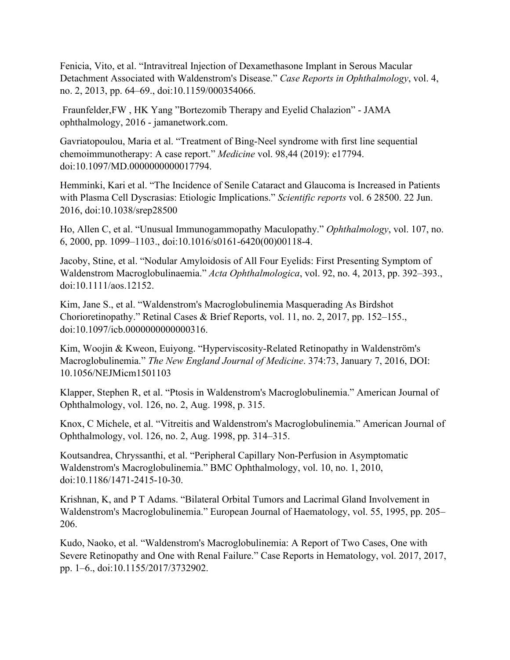Fenicia, Vito, et al. "Intravitreal Injection of Dexamethasone Implant in Serous Macular Detachment Associated with Waldenstrom's Disease." *Case Reports in Ophthalmology*, vol. 4, no. 2, 2013, pp. 64–69., doi:10.1159/000354066.

Fraunfelder,FW , HK Yang "Bortezomib Therapy and Eyelid Chalazion" - JAMA ophthalmology, 2016 - jamanetwork.com.

Gavriatopoulou, Maria et al. "Treatment of Bing-Neel syndrome with first line sequential chemoimmunotherapy: A case report." *Medicine* vol. 98,44 (2019): e17794. doi:10.1097/MD.0000000000017794.

Hemminki, Kari et al. "The Incidence of Senile Cataract and Glaucoma is Increased in Patients with Plasma Cell Dyscrasias: Etiologic Implications." *Scientific reports* vol. 6 28500. 22 Jun. 2016, doi:10.1038/srep28500

Ho, Allen C, et al. "Unusual Immunogammopathy Maculopathy." *Ophthalmology*, vol. 107, no. 6, 2000, pp. 1099–1103., doi:10.1016/s0161-6420(00)00118-4.

Jacoby, Stine, et al. "Nodular Amyloidosis of All Four Eyelids: First Presenting Symptom of Waldenstrom Macroglobulinaemia." *Acta Ophthalmologica*, vol. 92, no. 4, 2013, pp. 392–393., doi:10.1111/aos.12152.

Kim, Jane S., et al. "Waldenstrom's Macroglobulinemia Masquerading As Birdshot Chorioretinopathy." Retinal Cases & Brief Reports, vol. 11, no. 2, 2017, pp. 152–155., doi:10.1097/icb.0000000000000316.

Kim, Woojin & Kweon, Euiyong. "Hyperviscosity-Related Retinopathy in Waldenström's Macroglobulinemia." *The New England Journal of Medicine*. 374:73, January 7, 2016, DOI: 10.1056/NEJMicm1501103

Klapper, Stephen R, et al. "Ptosis in Waldenstrom's Macroglobulinemia." American Journal of Ophthalmology, vol. 126, no. 2, Aug. 1998, p. 315.

Knox, C Michele, et al. "Vitreitis and Waldenstrom's Macroglobulinemia." American Journal of Ophthalmology, vol. 126, no. 2, Aug. 1998, pp. 314–315.

Koutsandrea, Chryssanthi, et al. "Peripheral Capillary Non-Perfusion in Asymptomatic Waldenstrom's Macroglobulinemia." BMC Ophthalmology, vol. 10, no. 1, 2010, doi:10.1186/1471-2415-10-30.

Krishnan, K, and P T Adams. "Bilateral Orbital Tumors and Lacrimal Gland Involvement in Waldenstrom's Macroglobulinemia." European Journal of Haematology, vol. 55, 1995, pp. 205– 206.

Kudo, Naoko, et al. "Waldenstrom's Macroglobulinemia: A Report of Two Cases, One with Severe Retinopathy and One with Renal Failure." Case Reports in Hematology, vol. 2017, 2017, pp. 1–6., doi:10.1155/2017/3732902.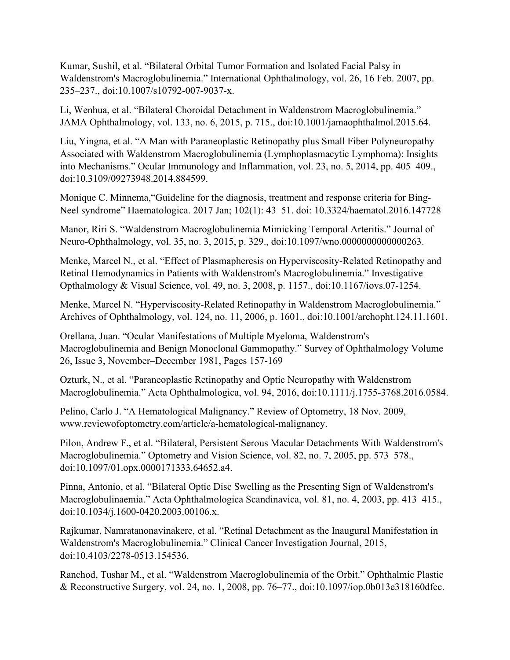Kumar, Sushil, et al. "Bilateral Orbital Tumor Formation and Isolated Facial Palsy in Waldenstrom's Macroglobulinemia." International Ophthalmology, vol. 26, 16 Feb. 2007, pp. 235–237., doi:10.1007/s10792-007-9037-x.

Li, Wenhua, et al. "Bilateral Choroidal Detachment in Waldenstrom Macroglobulinemia." JAMA Ophthalmology, vol. 133, no. 6, 2015, p. 715., doi:10.1001/jamaophthalmol.2015.64.

Liu, Yingna, et al. "A Man with Paraneoplastic Retinopathy plus Small Fiber Polyneuropathy Associated with Waldenstrom Macroglobulinemia (Lymphoplasmacytic Lymphoma): Insights into Mechanisms." Ocular Immunology and Inflammation, vol. 23, no. 5, 2014, pp. 405–409., doi:10.3109/09273948.2014.884599.

Monique C. Minnema,"Guideline for the diagnosis, treatment and response criteria for Bing-Neel syndrome" Haematologica. 2017 Jan; 102(1): 43–51. doi: 10.3324/haematol.2016.147728

Manor, Riri S. "Waldenstrom Macroglobulinemia Mimicking Temporal Arteritis." Journal of Neuro-Ophthalmology, vol. 35, no. 3, 2015, p. 329., doi:10.1097/wno.0000000000000263.

Menke, Marcel N., et al. "Effect of Plasmapheresis on Hyperviscosity-Related Retinopathy and Retinal Hemodynamics in Patients with Waldenstrom's Macroglobulinemia." Investigative Opthalmology & Visual Science, vol. 49, no. 3, 2008, p. 1157., doi:10.1167/iovs.07-1254.

Menke, Marcel N. "Hyperviscosity-Related Retinopathy in Waldenstrom Macroglobulinemia." Archives of Ophthalmology, vol. 124, no. 11, 2006, p. 1601., doi:10.1001/archopht.124.11.1601.

Orellana, Juan. "Ocular Manifestations of Multiple Myeloma, Waldenstrom's Macroglobulinemia and Benign Monoclonal Gammopathy." Survey of Ophthalmology Volume 26, Issue 3, November–December 1981, Pages 157-169

Ozturk, N., et al. "Paraneoplastic Retinopathy and Optic Neuropathy with Waldenstrom Macroglobulinemia." Acta Ophthalmologica, vol. 94, 2016, doi:10.1111/j.1755-3768.2016.0584.

Pelino, Carlo J. "A Hematological Malignancy." Review of Optometry, 18 Nov. 2009, www.reviewofoptometry.com/article/a-hematological-malignancy.

Pilon, Andrew F., et al. "Bilateral, Persistent Serous Macular Detachments With Waldenstrom's Macroglobulinemia." Optometry and Vision Science, vol. 82, no. 7, 2005, pp. 573–578., doi:10.1097/01.opx.0000171333.64652.a4.

Pinna, Antonio, et al. "Bilateral Optic Disc Swelling as the Presenting Sign of Waldenstrom's Macroglobulinaemia." Acta Ophthalmologica Scandinavica, vol. 81, no. 4, 2003, pp. 413–415., doi:10.1034/j.1600-0420.2003.00106.x.

Rajkumar, Namratanonavinakere, et al. "Retinal Detachment as the Inaugural Manifestation in Waldenstrom's Macroglobulinemia." Clinical Cancer Investigation Journal, 2015, doi:10.4103/2278-0513.154536.

Ranchod, Tushar M., et al. "Waldenstrom Macroglobulinemia of the Orbit." Ophthalmic Plastic & Reconstructive Surgery, vol. 24, no. 1, 2008, pp. 76–77., doi:10.1097/iop.0b013e318160dfcc.